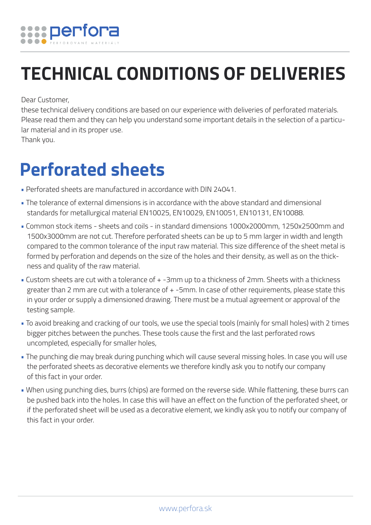

## **TECHNICAL CONDITIONS OF DELIVERIES**

Dear Customer,

these technical delivery conditions are based on our experience with deliveries of perforated materials. Please read them and they can help you understand some important details in the selection of a particular material and in its proper use.

Thank you.

## **Perforated sheets**

- Perforated sheets are manufactured in accordance with DIN 24041.
- The tolerance of external dimensions is in accordance with the above standard and dimensional standards for metallurgical material EN10025, EN10029, EN10051, EN10131, EN10088.
- Common stock items sheets and coils in standard dimensions 1000x2000mm, 1250x2500mm and 1500x3000mm are not cut. Therefore perforated sheets can be up to 5 mm larger in width and length compared to the common tolerance of the input raw material. This size difference of the sheet metal is formed by perforation and depends on the size of the holes and their density, as well as on the thickness and quality of the raw material.
- Custom sheets are cut with a tolerance of + -3mm up to a thickness of 2mm. Sheets with a thickness greater than 2 mm are cut with a tolerance of + -5mm. In case of other requirements, please state this in your order or supply a dimensioned drawing. There must be a mutual agreement or approval of the testing sample.
- To avoid breaking and cracking of our tools, we use the special tools (mainly for small holes) with 2 times bigger pitches between the punches. These tools cause the first and the last perforated rows uncompleted, especially for smaller holes,
- The punching die may break during punching which will cause several missing holes. In case you will use the perforated sheets as decorative elements we therefore kindly ask you to notify our company of this fact in your order.
- When using punching dies, burrs (chips) are formed on the reverse side. While flattening, these burrs can be pushed back into the holes. In case this will have an effect on the function of the perforated sheet, or if the perforated sheet will be used as a decorative element, we kindly ask you to notify our company of this fact in your order.